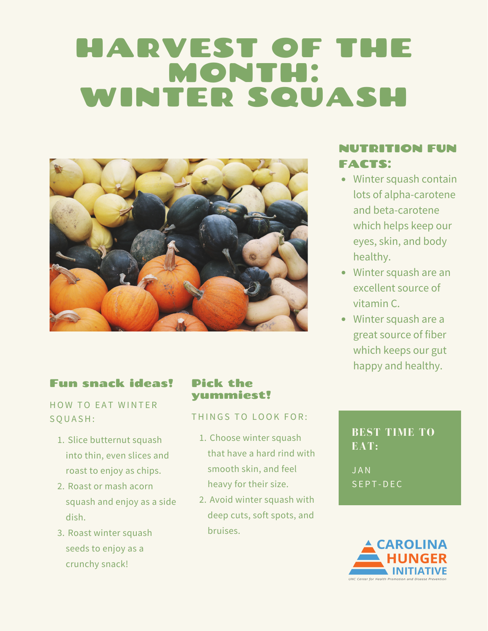# HARVEST OF THE MONTH: WINTER SQUASH



### Fun snack ideas!

HOW TO EAT WINTER SQUA SH:

- 1. Slice butternut squash into thin, even slices and roast to enjoy as chips.
- 2. Roast or mash acorn squash and enjoy as a side dish.
- 3. Roast winter squash seeds to enjoy as a crunchy snack!

### Pick the yummiest!

### THINGS TO LOOK FOR:

- 1. Choose winter squash that have a hard rind with smooth skin, and feel heavy for their size.
- 2. Avoid winter squash with deep cuts, soft spots, and bruises.

### NUTRITION FUN FACTS:

- Winter squash contain lots of alpha-carotene and beta-carotene which helps keep our eyes, skin, and body healthy.
- Winter squash are an excellent source of vitamin C.
- Winter squash are a great source of fiber which keeps our gut happy and healthy.

### **BEST TIME TO EAT:**

J AN SEPT-DEC